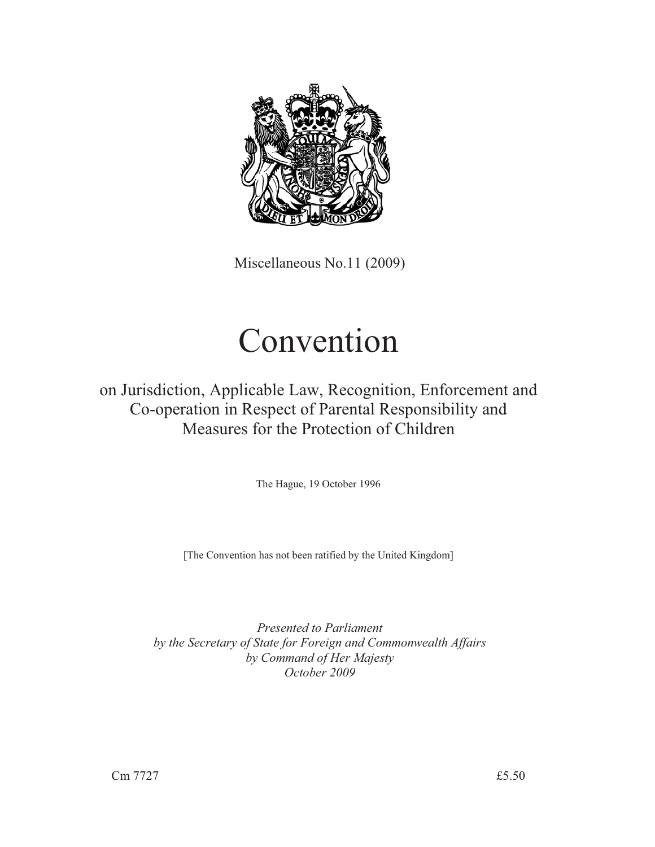

Miscellaneous No.11 (2009)

# Convention

on Jurisdiction, Applicable Law, Recognition, Enforcement and Co-operation in Respect of Parental Responsibility and Measures for the Protection of Children

The Hague, 19 October 1996

[The Convention has not been ratified by the United Kingdom]

*Presented to Parliament by the Secretary of State for Foreign and Commonwealth Affairs by Command of Her Majesty October 2009*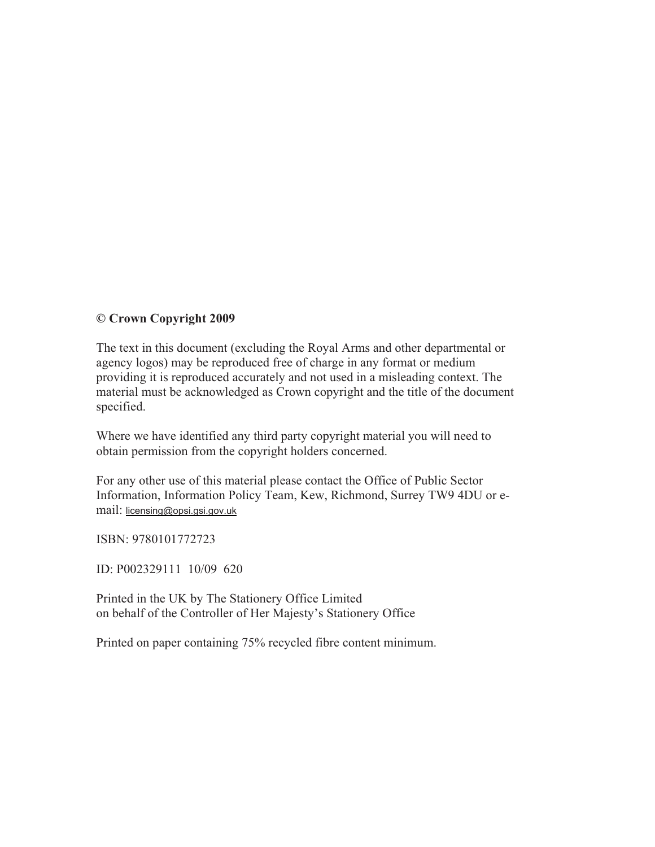## **© Crown Copyright 2009**

The text in this document (excluding the Royal Arms and other departmental or agency logos) may be reproduced free of charge in any format or medium providing it is reproduced accurately and not used in a misleading context. The material must be acknowledged as Crown copyright and the title of the document specified.

Where we have identified any third party copyright material you will need to obtain permission from the copyright holders concerned.

For any other use of this material please contact the Office of Public Sector Information, Information Policy Team, Kew, Richmond, Surrey TW9 4DU or email: licensing@opsi.gsi.gov.uk

ISBN: 9780101772723

ID: P002329111 10/09 620

Printed in the UK by The Stationery Office Limited on behalf of the Controller of Her Majesty's Stationery Office

Printed on paper containing 75% recycled fibre content minimum.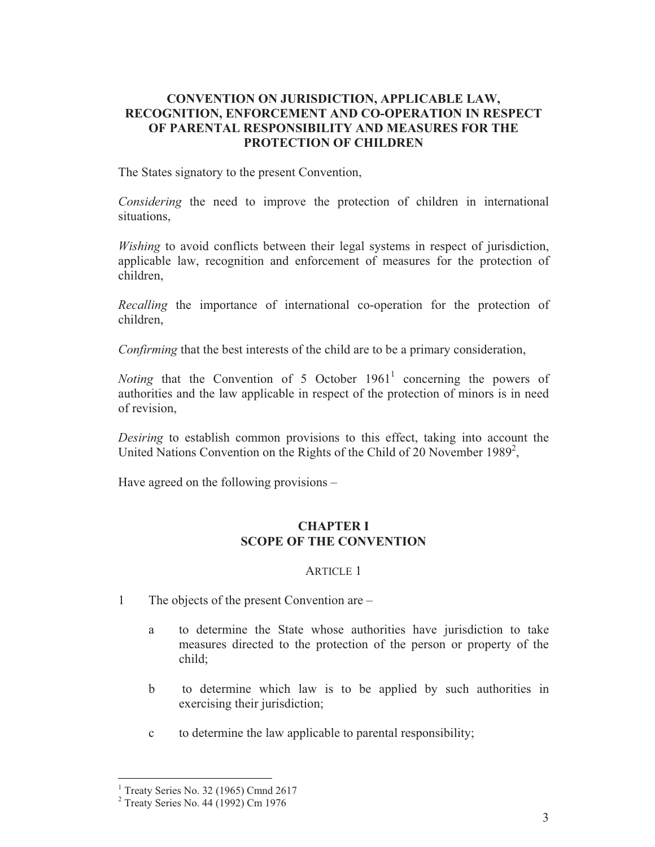# **CONVENTION ON JURISDICTION, APPLICABLE LAW,**  OF PARENTAL RESPONSIBILITY AND MEASURES FOR THE **PROTECTION OF CHILDREN PROTECTION OF CHILDREN**

The States signatory to the present Convention,

*Considering* the need to improve the protection of children in international situations,

*Wishing* to avoid conflicts between their legal systems in respect of jurisdiction, applicable law, recognition and enforcement of measures for the protection of children,

*Recalling* the importance of international co-operation for the protection of children,

*Confirming* that the best interests of the child are to be a primary consideration,

*Noting* that the Convention of 5 October  $1961<sup>1</sup>$  concerning the powers of authorities and the law applicable in respect of the protection of minors is in need of revision,

*Desiring* to establish common provisions to this effect, taking into account the United Nations Convention on the Rights of the Child of 20 November 1989<sup>2</sup>,

Have agreed on the following provisions –

# **CHAPTER I<br>SCOPE OF THE CONVENTION SCOPE OF THE CONVENTION**

#### ARTICLE 1

- 1 The objects of the present Convention are
	- a to determine the State whose authorities have jurisdiction to take measures directed to the protection of the person or property of the child;
	- b to determine which law is to be applied by such authorities in exercising their jurisdiction;
	- c to determine the law applicable to parental responsibility;

 1 Treaty Series No. 32 (1965) Cmnd 2617

<sup>&</sup>lt;sup>2</sup> Treaty Series No. 44 (1992) Cm 1976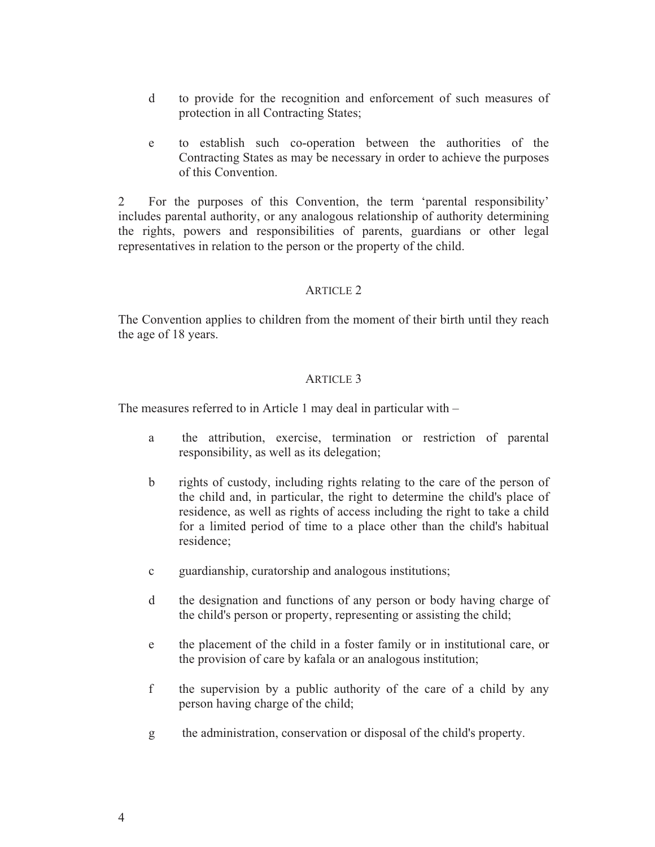- d to provide for the recognition and enforcement of such measures of protection in all Contracting States;
- e to establish such co-operation between the authorities of the Contracting States as may be necessary in order to achieve the purposes of this Convention.

2 For the purposes of this Convention, the term 'parental responsibility' includes parental authority, or any analogous relationship of authority determining the rights, powers and responsibilities of parents, guardians or other legal representatives in relation to the person or the property of the child.

## ARTICLE 2

The Convention applies to children from the moment of their birth until they reach the age of 18 years.

#### ARTICLE 3

The measures referred to in Article 1 may deal in particular with –

- a the attribution, exercise, termination or restriction of parental responsibility, as well as its delegation;
- b rights of custody, including rights relating to the care of the person of the child and, in particular, the right to determine the child's place of residence, as well as rights of access including the right to take a child for a limited period of time to a place other than the child's habitual residence;
- c guardianship, curatorship and analogous institutions;
- d the designation and functions of any person or body having charge of the child's person or property, representing or assisting the child;
- e the placement of the child in a foster family or in institutional care, or the provision of care by kafala or an analogous institution;
- f the supervision by a public authority of the care of a child by any person having charge of the child;
- g the administration, conservation or disposal of the child's property.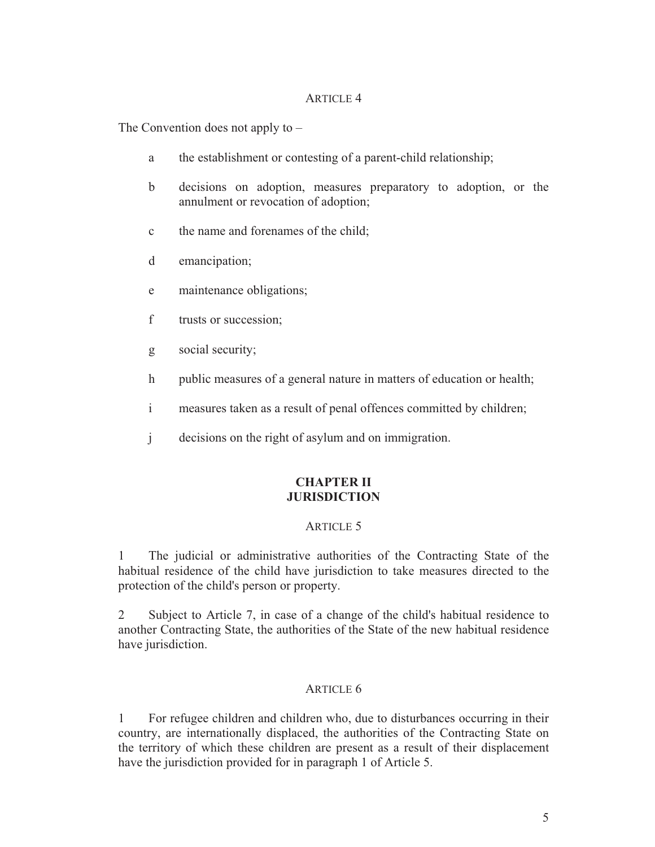The Convention does not apply to –

- a the establishment or contesting of a parent-child relationship;
- b decisions on adoption, measures preparatory to adoption, or the annulment or revocation of adoption;
- c the name and forenames of the child;
- d emancipation;
- e maintenance obligations;
- f trusts or succession:
- g social security;
- h public measures of a general nature in matters of education or health;
- i measures taken as a result of penal offences committed by children;
- j decisions on the right of asylum and on immigration.

#### **CHAPTER II JURISDICTION JURISDICTION**

#### ARTICLE 5

1 The judicial or administrative authorities of the Contracting State of the habitual residence of the child have jurisdiction to take measures directed to the protection of the child's person or property.

2 Subject to Article 7, in case of a change of the child's habitual residence to another Contracting State, the authorities of the State of the new habitual residence have jurisdiction.

#### ARTICLE 6

1 For refugee children and children who, due to disturbances occurring in their country, are internationally displaced, the authorities of the Contracting State on the territory of which these children are present as a result of their displacement have the jurisdiction provided for in paragraph 1 of Article 5.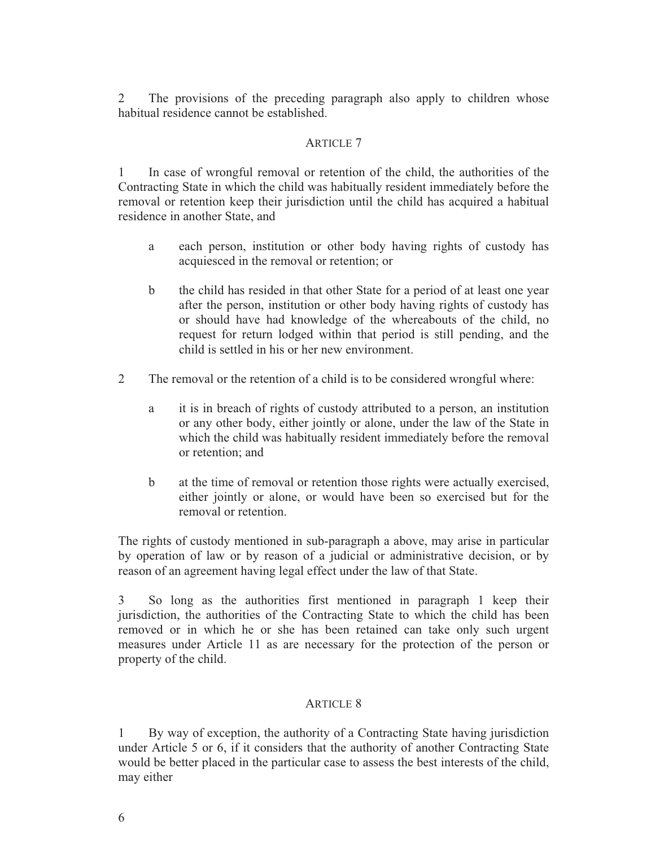2 The provisions of the preceding paragraph also apply to children whose habitual residence cannot be established.

#### ARTICLE 7

1 In case of wrongful removal or retention of the child, the authorities of the Contracting State in which the child was habitually resident immediately before the removal or retention keep their jurisdiction until the child has acquired a habitual residence in another State, and

- a each person, institution or other body having rights of custody has acquiesced in the removal or retention; or
- b the child has resided in that other State for a period of at least one year after the person, institution or other body having rights of custody has or should have had knowledge of the whereabouts of the child, no request for return lodged within that period is still pending, and the child is settled in his or her new environment.
- 2 The removal or the retention of a child is to be considered wrongful where:
	- a it is in breach of rights of custody attributed to a person, an institution or any other body, either jointly or alone, under the law of the State in which the child was habitually resident immediately before the removal or retention; and
	- b at the time of removal or retention those rights were actually exercised, either jointly or alone, or would have been so exercised but for the removal or retention.

The rights of custody mentioned in sub-paragraph a above, may arise in particular by operation of law or by reason of a judicial or administrative decision, or by reason of an agreement having legal effect under the law of that State.

3 So long as the authorities first mentioned in paragraph 1 keep their jurisdiction, the authorities of the Contracting State to which the child has been removed or in which he or she has been retained can take only such urgent measures under Article 11 as are necessary for the protection of the person or property of the child.

## ARTICLE 8

1 By way of exception, the authority of a Contracting State having jurisdiction under Article 5 or 6, if it considers that the authority of another Contracting State would be better placed in the particular case to assess the best interests of the child, may either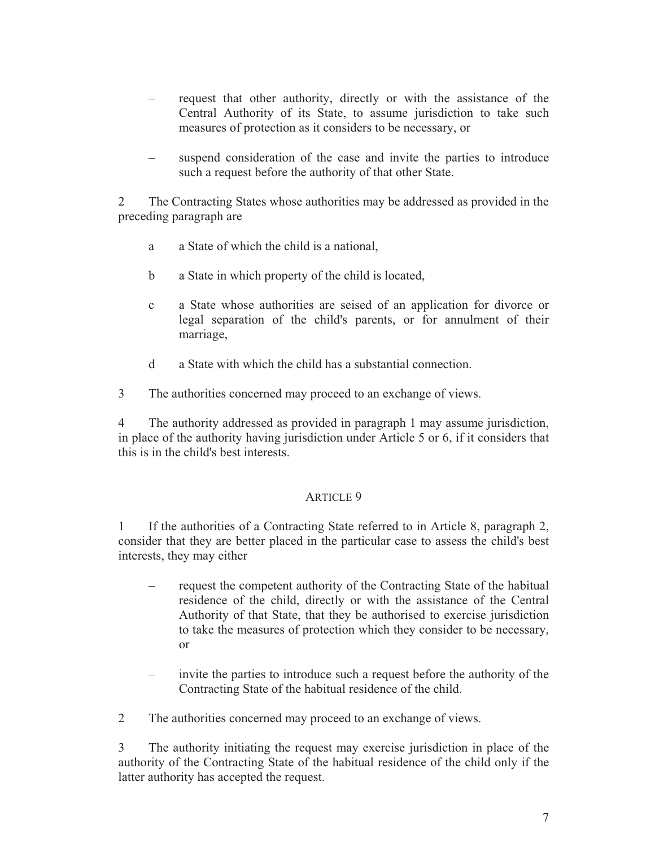- request that other authority, directly or with the assistance of the Central Authority of its State, to assume jurisdiction to take such measures of protection as it considers to be necessary, or
- suspend consideration of the case and invite the parties to introduce such a request before the authority of that other State.

2 The Contracting States whose authorities may be addressed as provided in the preceding paragraph are

- a a State of which the child is a national,
- b a State in which property of the child is located,
- c a State whose authorities are seised of an application for divorce or legal separation of the child's parents, or for annulment of their marriage,
- d a State with which the child has a substantial connection.
- 3 The authorities concerned may proceed to an exchange of views.

4 The authority addressed as provided in paragraph 1 may assume jurisdiction, in place of the authority having jurisdiction under Article 5 or 6, if it considers that this is in the child's best interests.

## ARTICLE 9

1 If the authorities of a Contracting State referred to in Article 8, paragraph 2, consider that they are better placed in the particular case to assess the child's best interests, they may either

- request the competent authority of the Contracting State of the habitual residence of the child, directly or with the assistance of the Central Authority of that State, that they be authorised to exercise jurisdiction to take the measures of protection which they consider to be necessary, or
- invite the parties to introduce such a request before the authority of the Contracting State of the habitual residence of the child.

2 The authorities concerned may proceed to an exchange of views.

The authority initiating the request may exercise jurisdiction in place of the authority of the Contracting State of the habitual residence of the child only if the latter authority has accepted the request.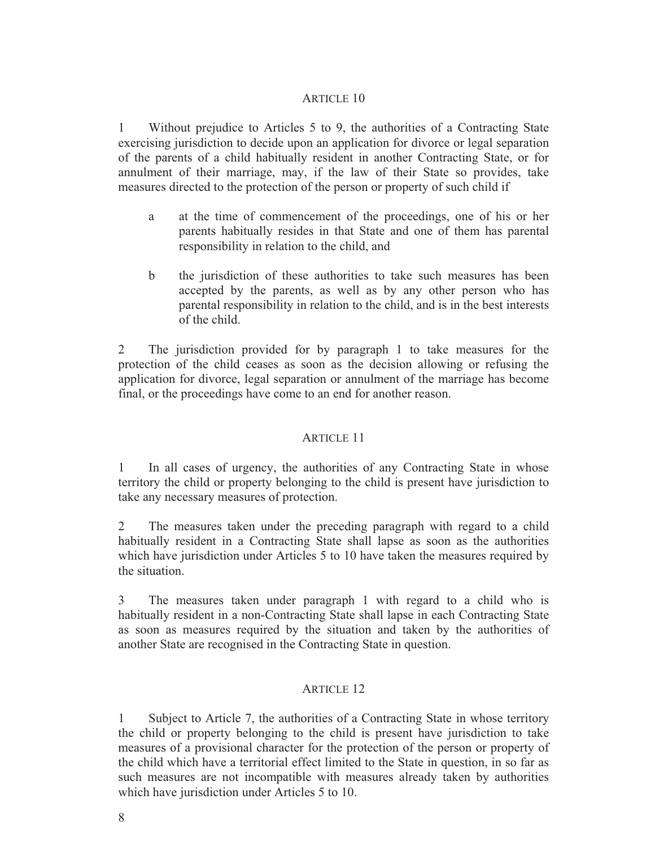1 Without prejudice to Articles 5 to 9, the authorities of a Contracting State exercising jurisdiction to decide upon an application for divorce or legal separation of the parents of a child habitually resident in another Contracting State, or for annulment of their marriage, may, if the law of their State so provides, take measures directed to the protection of the person or property of such child if

- a at the time of commencement of the proceedings, one of his or her parents habitually resides in that State and one of them has parental responsibility in relation to the child, and
- b the jurisdiction of these authorities to take such measures has been accepted by the parents, as well as by any other person who has parental responsibility in relation to the child, and is in the best interests of the child.

2 The jurisdiction provided for by paragraph 1 to take measures for the protection of the child ceases as soon as the decision allowing or refusing the application for divorce, legal separation or annulment of the marriage has become final, or the proceedings have come to an end for another reason.

## ARTICLE 11

In all cases of urgency, the authorities of any Contracting State in whose territory the child or property belonging to the child is present have jurisdiction to take any necessary measures of protection.

2 The measures taken under the preceding paragraph with regard to a child habitually resident in a Contracting State shall lapse as soon as the authorities which have jurisdiction under Articles 5 to 10 have taken the measures required by the situation.

3 The measures taken under paragraph 1 with regard to a child who is habitually resident in a non-Contracting State shall lapse in each Contracting State as soon as measures required by the situation and taken by the authorities of another State are recognised in the Contracting State in question.

#### ARTICLE 12

1 Subject to Article 7, the authorities of a Contracting State in whose territory the child or property belonging to the child is present have jurisdiction to take measures of a provisional character for the protection of the person or property of the child which have a territorial effect limited to the State in question, in so far as such measures are not incompatible with measures already taken by authorities which have jurisdiction under Articles 5 to 10.

8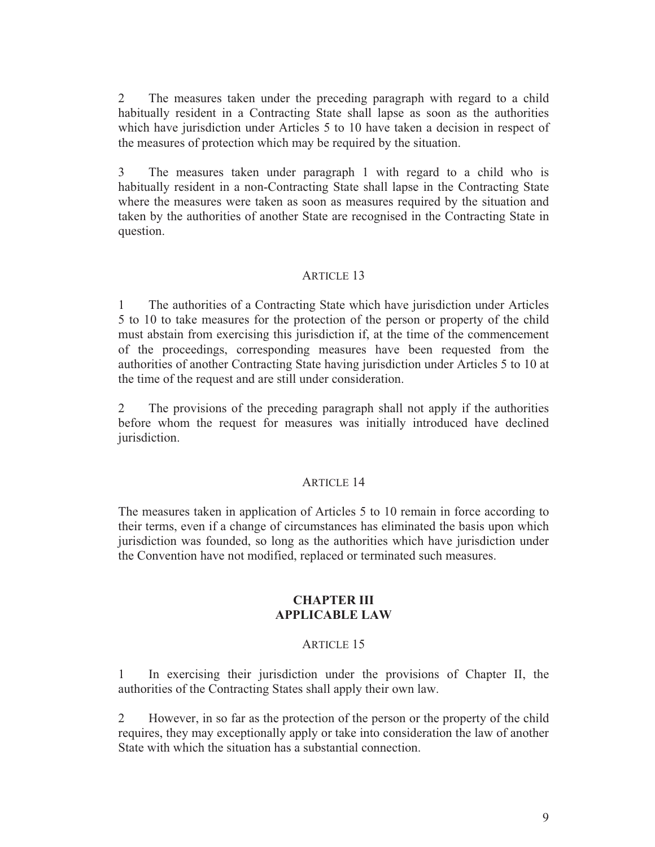2 The measures taken under the preceding paragraph with regard to a child habitually resident in a Contracting State shall lapse as soon as the authorities which have jurisdiction under Articles 5 to 10 have taken a decision in respect of the measures of protection which may be required by the situation.

3 The measures taken under paragraph 1 with regard to a child who is habitually resident in a non-Contracting State shall lapse in the Contracting State where the measures were taken as soon as measures required by the situation and taken by the authorities of another State are recognised in the Contracting State in question.

#### ARTICLE 13

1 The authorities of a Contracting State which have jurisdiction under Articles 5 to 10 to take measures for the protection of the person or property of the child must abstain from exercising this jurisdiction if, at the time of the commencement of the proceedings, corresponding measures have been requested from the authorities of another Contracting State having jurisdiction under Articles 5 to 10 at the time of the request and are still under consideration.

2 The provisions of the preceding paragraph shall not apply if the authorities before whom the request for measures was initially introduced have declined jurisdiction.

#### ARTICLE 14

The measures taken in application of Articles 5 to 10 remain in force according to their terms, even if a change of circumstances has eliminated the basis upon which jurisdiction was founded, so long as the authorities which have jurisdiction under the Convention have not modified, replaced or terminated such measures.

# **CHAPTER III APPLICABLE LAW**

#### ARTICLE 15

In exercising their jurisdiction under the provisions of Chapter II, the authorities of the Contracting States shall apply their own law.

2 However, in so far as the protection of the person or the property of the child requires, they may exceptionally apply or take into consideration the law of another State with which the situation has a substantial connection.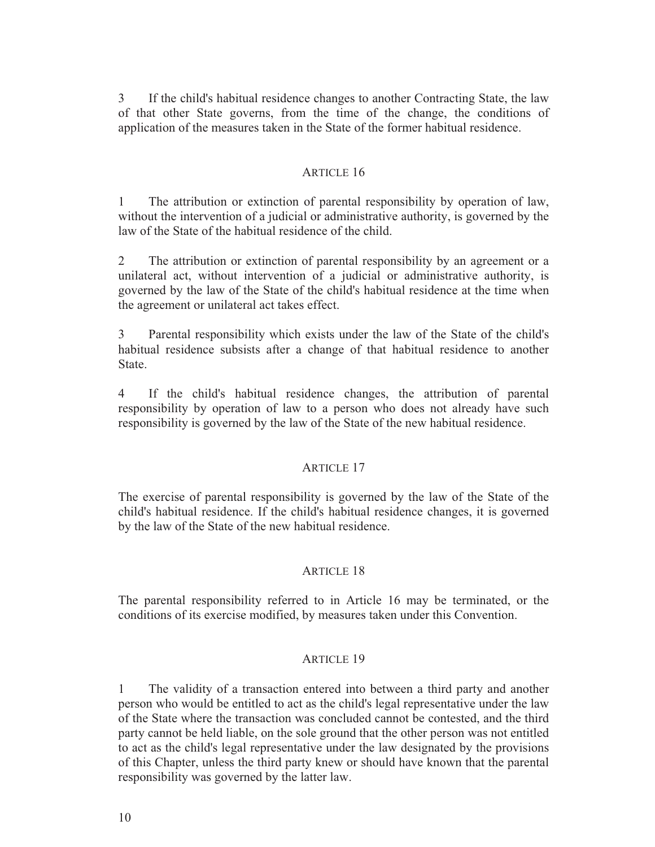3 If the child's habitual residence changes to another Contracting State, the law of that other State governs, from the time of the change, the conditions of application of the measures taken in the State of the former habitual residence.

#### ARTICLE 16

1 The attribution or extinction of parental responsibility by operation of law, without the intervention of a judicial or administrative authority, is governed by the law of the State of the habitual residence of the child.

2 The attribution or extinction of parental responsibility by an agreement or a unilateral act, without intervention of a judicial or administrative authority, is governed by the law of the State of the child's habitual residence at the time when the agreement or unilateral act takes effect.

3 Parental responsibility which exists under the law of the State of the child's habitual residence subsists after a change of that habitual residence to another State.

4 If the child's habitual residence changes, the attribution of parental responsibility by operation of law to a person who does not already have such responsibility is governed by the law of the State of the new habitual residence.

#### ARTICLE 17

The exercise of parental responsibility is governed by the law of the State of the child's habitual residence. If the child's habitual residence changes, it is governed by the law of the State of the new habitual residence.

#### ARTICLE 18

The parental responsibility referred to in Article 16 may be terminated, or the conditions of its exercise modified, by measures taken under this Convention.

#### ARTICLE 19

1 The validity of a transaction entered into between a third party and another person who would be entitled to act as the child's legal representative under the law of the State where the transaction was concluded cannot be contested, and the third party cannot be held liable, on the sole ground that the other person was not entitled to act as the child's legal representative under the law designated by the provisions of this Chapter, unless the third party knew or should have known that the parental responsibility was governed by the latter law.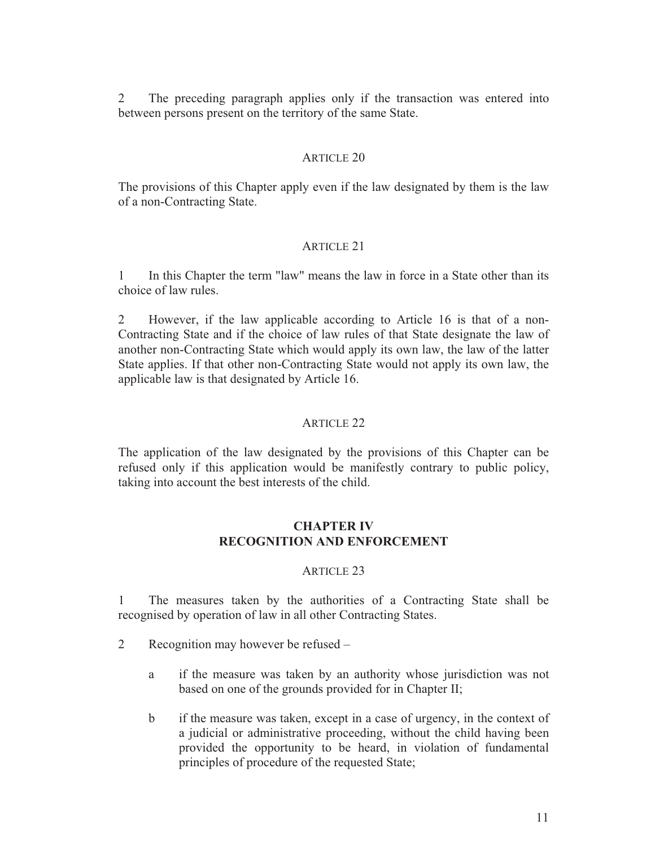2 The preceding paragraph applies only if the transaction was entered into between persons present on the territory of the same State.

#### ARTICLE 20

The provisions of this Chapter apply even if the law designated by them is the law of a non-Contracting State.

#### ARTICLE 21

1 In this Chapter the term "law" means the law in force in a State other than its choice of law rules.

2 However, if the law applicable according to Article 16 is that of a non-Contracting State and if the choice of law rules of that State designate the law of another non-Contracting State which would apply its own law, the law of the latter State applies. If that other non-Contracting State would not apply its own law, the applicable law is that designated by Article 16.

#### ARTICLE 22

The application of the law designated by the provisions of this Chapter can be refused only if this application would be manifestly contrary to public policy, taking into account the best interests of the child.

# **CHAPTER IV<br>RECOGNITION AND ENFORCEMENT RECOGNITION AND ENFORCEMENT**

#### ARTICLE 23

1 The measures taken by the authorities of a Contracting State shall be recognised by operation of law in all other Contracting States.

- 2 Recognition may however be refused
	- a if the measure was taken by an authority whose jurisdiction was not based on one of the grounds provided for in Chapter II;
	- b if the measure was taken, except in a case of urgency, in the context of a judicial or administrative proceeding, without the child having been provided the opportunity to be heard, in violation of fundamental principles of procedure of the requested State;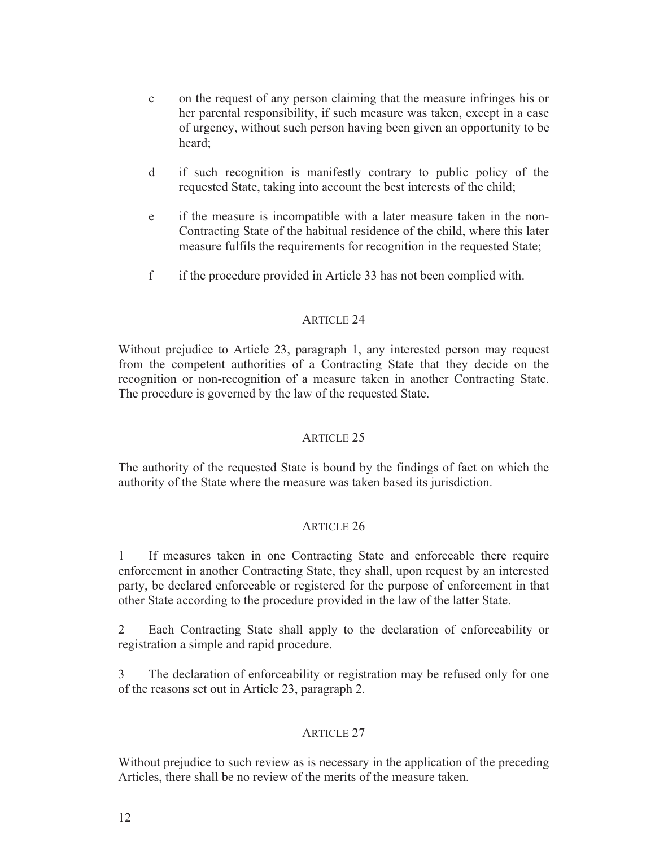- c on the request of any person claiming that the measure infringes his or her parental responsibility, if such measure was taken, except in a case of urgency, without such person having been given an opportunity to be heard;
- d if such recognition is manifestly contrary to public policy of the requested State, taking into account the best interests of the child;
- e if the measure is incompatible with a later measure taken in the non-Contracting State of the habitual residence of the child, where this later measure fulfils the requirements for recognition in the requested State;
- f if the procedure provided in Article 33 has not been complied with.

Without prejudice to Article 23, paragraph 1, any interested person may request from the competent authorities of a Contracting State that they decide on the recognition or non-recognition of a measure taken in another Contracting State. The procedure is governed by the law of the requested State.

## ARTICLE 25

The authority of the requested State is bound by the findings of fact on which the authority of the State where the measure was taken based its jurisdiction.

## ARTICLE 26

1 If measures taken in one Contracting State and enforceable there require enforcement in another Contracting State, they shall, upon request by an interested party, be declared enforceable or registered for the purpose of enforcement in that other State according to the procedure provided in the law of the latter State.

Each Contracting State shall apply to the declaration of enforceability or registration a simple and rapid procedure.

3 The declaration of enforceability or registration may be refused only for one of the reasons set out in Article 23, paragraph 2.

## ARTICLE 27

Without prejudice to such review as is necessary in the application of the preceding Articles, there shall be no review of the merits of the measure taken.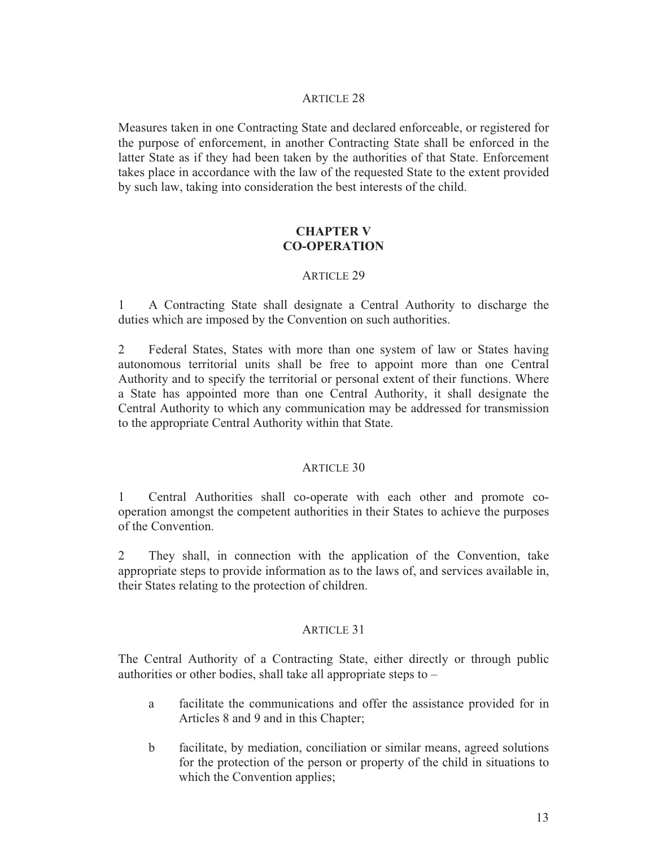Measures taken in one Contracting State and declared enforceable, or registered for the purpose of enforcement, in another Contracting State shall be enforced in the latter State as if they had been taken by the authorities of that State. Enforcement takes place in accordance with the law of the requested State to the extent provided by such law, taking into consideration the best interests of the child.

#### **CHAPTER V CO-OPERATION CO-OPERATION**

#### ARTICLE 29

1 A Contracting State shall designate a Central Authority to discharge the duties which are imposed by the Convention on such authorities.

2 Federal States, States with more than one system of law or States having autonomous territorial units shall be free to appoint more than one Central Authority and to specify the territorial or personal extent of their functions. Where a State has appointed more than one Central Authority, it shall designate the Central Authority to which any communication may be addressed for transmission to the appropriate Central Authority within that State.

#### ARTICLE 30

1 Central Authorities shall co-operate with each other and promote cooperation amongst the competent authorities in their States to achieve the purposes of the Convention.

2 They shall, in connection with the application of the Convention, take appropriate steps to provide information as to the laws of, and services available in, their States relating to the protection of children.

#### ARTICLE 31

The Central Authority of a Contracting State, either directly or through public authorities or other bodies, shall take all appropriate steps to –

- a facilitate the communications and offer the assistance provided for in Articles 8 and 9 and in this Chapter;
- b facilitate, by mediation, conciliation or similar means, agreed solutions for the protection of the person or property of the child in situations to which the Convention applies;

13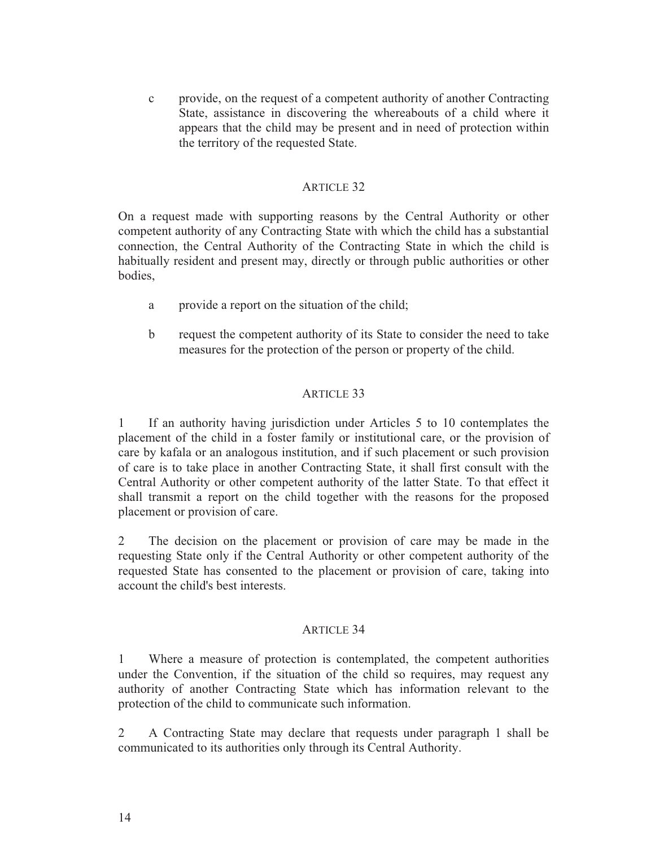c provide, on the request of a competent authority of another Contracting State, assistance in discovering the whereabouts of a child where it appears that the child may be present and in need of protection within the territory of the requested State.

#### ARTICLE 32

On a request made with supporting reasons by the Central Authority or other competent authority of any Contracting State with which the child has a substantial connection, the Central Authority of the Contracting State in which the child is habitually resident and present may, directly or through public authorities or other bodies,

- a provide a report on the situation of the child;
- b request the competent authority of its State to consider the need to take measures for the protection of the person or property of the child.

#### ARTICLE 33

If an authority having jurisdiction under Articles 5 to 10 contemplates the placement of the child in a foster family or institutional care, or the provision of care by kafala or an analogous institution, and if such placement or such provision of care is to take place in another Contracting State, it shall first consult with the Central Authority or other competent authority of the latter State. To that effect it shall transmit a report on the child together with the reasons for the proposed placement or provision of care.

2 The decision on the placement or provision of care may be made in the requesting State only if the Central Authority or other competent authority of the requested State has consented to the placement or provision of care, taking into account the child's best interests.

#### ARTICLE 34

1 Where a measure of protection is contemplated, the competent authorities under the Convention, if the situation of the child so requires, may request any authority of another Contracting State which has information relevant to the protection of the child to communicate such information.

2 A Contracting State may declare that requests under paragraph 1 shall be communicated to its authorities only through its Central Authority.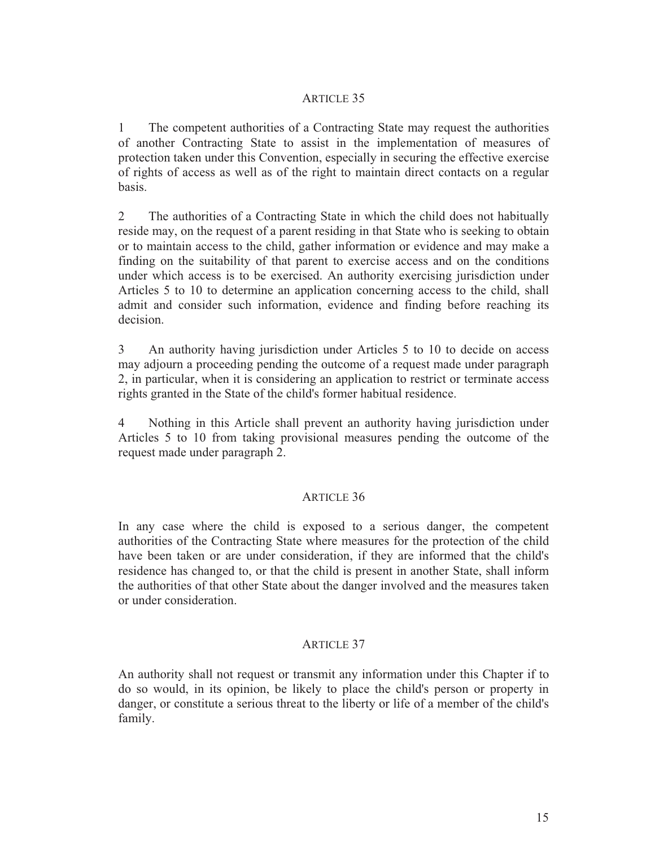1 The competent authorities of a Contracting State may request the authorities of another Contracting State to assist in the implementation of measures of protection taken under this Convention, especially in securing the effective exercise of rights of access as well as of the right to maintain direct contacts on a regular basis.

2 The authorities of a Contracting State in which the child does not habitually reside may, on the request of a parent residing in that State who is seeking to obtain or to maintain access to the child, gather information or evidence and may make a finding on the suitability of that parent to exercise access and on the conditions under which access is to be exercised. An authority exercising jurisdiction under Articles 5 to 10 to determine an application concerning access to the child, shall admit and consider such information, evidence and finding before reaching its decision.

3 An authority having jurisdiction under Articles 5 to 10 to decide on access may adjourn a proceeding pending the outcome of a request made under paragraph 2, in particular, when it is considering an application to restrict or terminate access rights granted in the State of the child's former habitual residence.

4 Nothing in this Article shall prevent an authority having jurisdiction under Articles 5 to 10 from taking provisional measures pending the outcome of the request made under paragraph 2.

#### ARTICLE 36

In any case where the child is exposed to a serious danger, the competent authorities of the Contracting State where measures for the protection of the child have been taken or are under consideration, if they are informed that the child's residence has changed to, or that the child is present in another State, shall inform the authorities of that other State about the danger involved and the measures taken or under consideration.

#### ARTICLE 37

An authority shall not request or transmit any information under this Chapter if to do so would, in its opinion, be likely to place the child's person or property in danger, or constitute a serious threat to the liberty or life of a member of the child's family.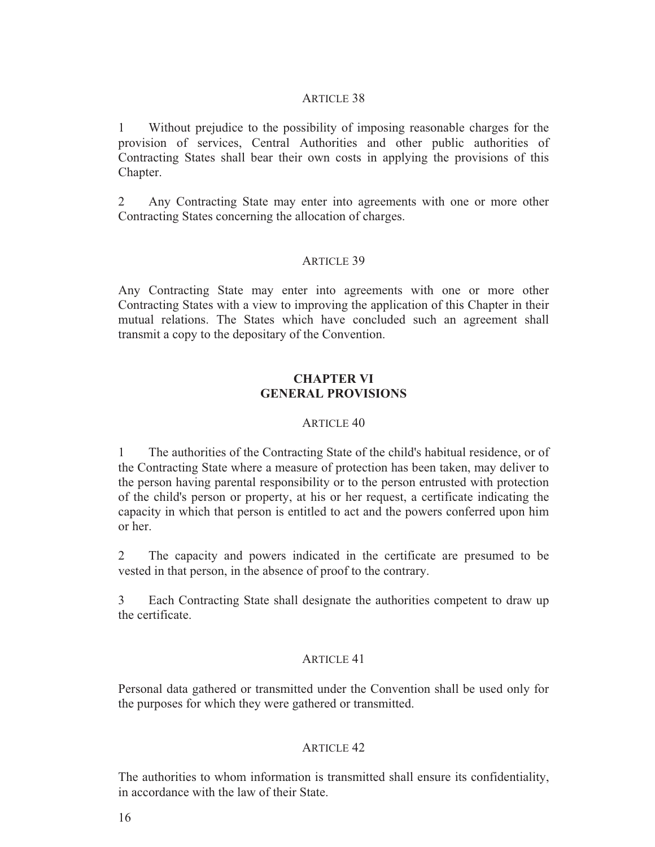1 Without prejudice to the possibility of imposing reasonable charges for the provision of services, Central Authorities and other public authorities of Contracting States shall bear their own costs in applying the provisions of this Chapter.

2 Any Contracting State may enter into agreements with one or more other Contracting States concerning the allocation of charges.

#### ARTICLE 39

Any Contracting State may enter into agreements with one or more other Contracting States with a view to improving the application of this Chapter in their mutual relations. The States which have concluded such an agreement shall transmit a copy to the depositary of the Convention.

#### **CHAPTER VI GENERAL PROVISIONS GENERAL PROVISIONS**

#### ARTICLE 40

1 The authorities of the Contracting State of the child's habitual residence, or of the Contracting State where a measure of protection has been taken, may deliver to the person having parental responsibility or to the person entrusted with protection of the child's person or property, at his or her request, a certificate indicating the capacity in which that person is entitled to act and the powers conferred upon him or her.

2 The capacity and powers indicated in the certificate are presumed to be vested in that person, in the absence of proof to the contrary.

3 Each Contracting State shall designate the authorities competent to draw up the certificate.

## ARTICLE 41

Personal data gathered or transmitted under the Convention shall be used only for the purposes for which they were gathered or transmitted.

#### ARTICLE 42

The authorities to whom information is transmitted shall ensure its confidentiality, in accordance with the law of their State.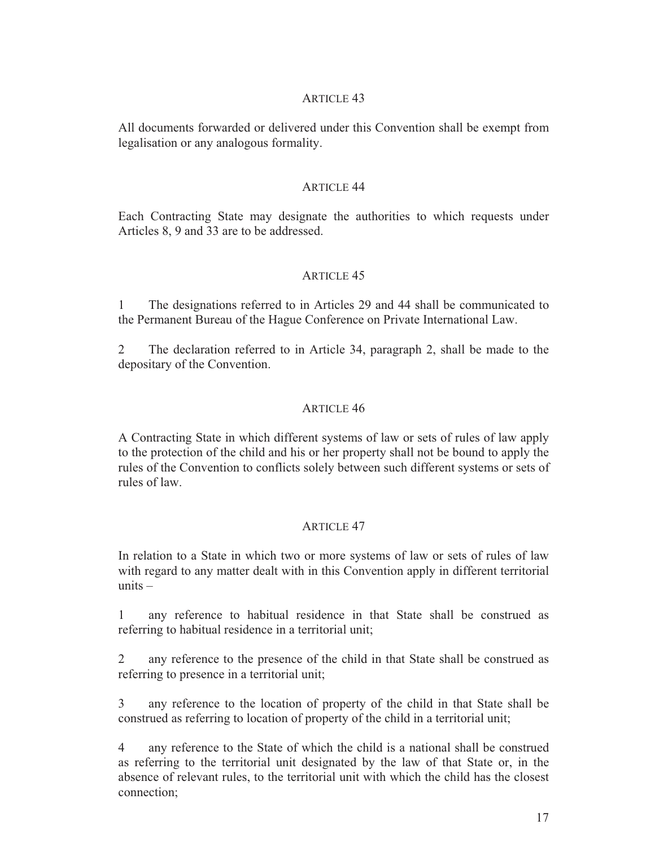All documents forwarded or delivered under this Convention shall be exempt from legalisation or any analogous formality.

#### ARTICLE 44

Each Contracting State may designate the authorities to which requests under Articles 8, 9 and 33 are to be addressed.

#### ARTICLE 45

1 The designations referred to in Articles 29 and 44 shall be communicated to the Permanent Bureau of the Hague Conference on Private International Law.

2 The declaration referred to in Article 34, paragraph 2, shall be made to the depositary of the Convention.

#### ARTICLE 46

A Contracting State in which different systems of law or sets of rules of law apply to the protection of the child and his or her property shall not be bound to apply the rules of the Convention to conflicts solely between such different systems or sets of rules of law.

#### ARTICLE 47

In relation to a State in which two or more systems of law or sets of rules of law with regard to any matter dealt with in this Convention apply in different territorial  $units -$ 

1 any reference to habitual residence in that State shall be construed as referring to habitual residence in a territorial unit;

2 any reference to the presence of the child in that State shall be construed as referring to presence in a territorial unit;

3 any reference to the location of property of the child in that State shall be construed as referring to location of property of the child in a territorial unit;

4 any reference to the State of which the child is a national shall be construed as referring to the territorial unit designated by the law of that State or, in the absence of relevant rules, to the territorial unit with which the child has the closest connection;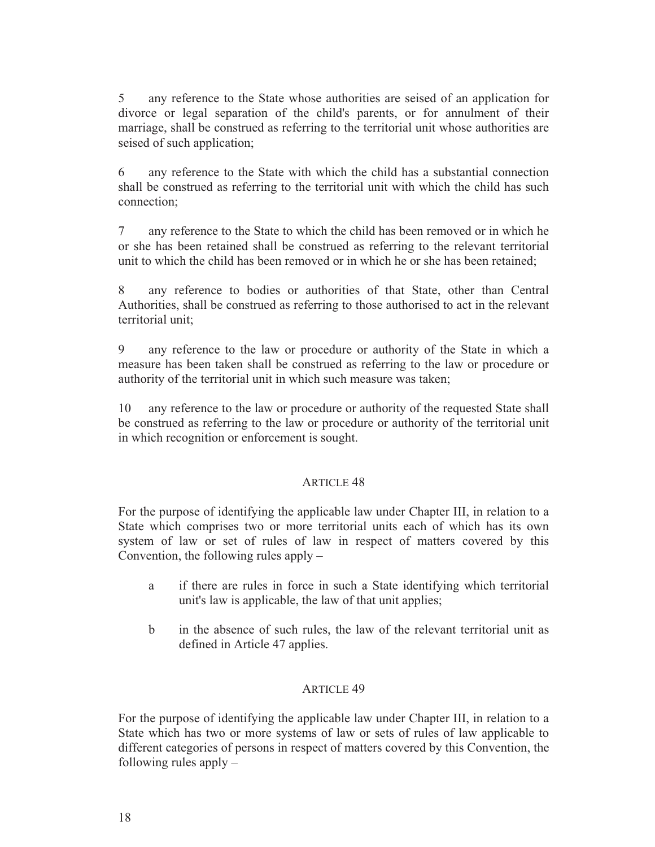5 any reference to the State whose authorities are seised of an application for divorce or legal separation of the child's parents, or for annulment of their marriage, shall be construed as referring to the territorial unit whose authorities are seised of such application;

6 any reference to the State with which the child has a substantial connection shall be construed as referring to the territorial unit with which the child has such connection;

7 any reference to the State to which the child has been removed or in which he or she has been retained shall be construed as referring to the relevant territorial unit to which the child has been removed or in which he or she has been retained;

8 any reference to bodies or authorities of that State, other than Central Authorities, shall be construed as referring to those authorised to act in the relevant territorial unit;

9 any reference to the law or procedure or authority of the State in which a measure has been taken shall be construed as referring to the law or procedure or authority of the territorial unit in which such measure was taken;

10 any reference to the law or procedure or authority of the requested State shall be construed as referring to the law or procedure or authority of the territorial unit in which recognition or enforcement is sought.

## ARTICLE 48

For the purpose of identifying the applicable law under Chapter III, in relation to a State which comprises two or more territorial units each of which has its own system of law or set of rules of law in respect of matters covered by this Convention, the following rules apply –

- a if there are rules in force in such a State identifying which territorial unit's law is applicable, the law of that unit applies;
- b in the absence of such rules, the law of the relevant territorial unit as defined in Article 47 applies.

## ARTICLE 49

For the purpose of identifying the applicable law under Chapter III, in relation to a State which has two or more systems of law or sets of rules of law applicable to different categories of persons in respect of matters covered by this Convention, the following rules apply  $-$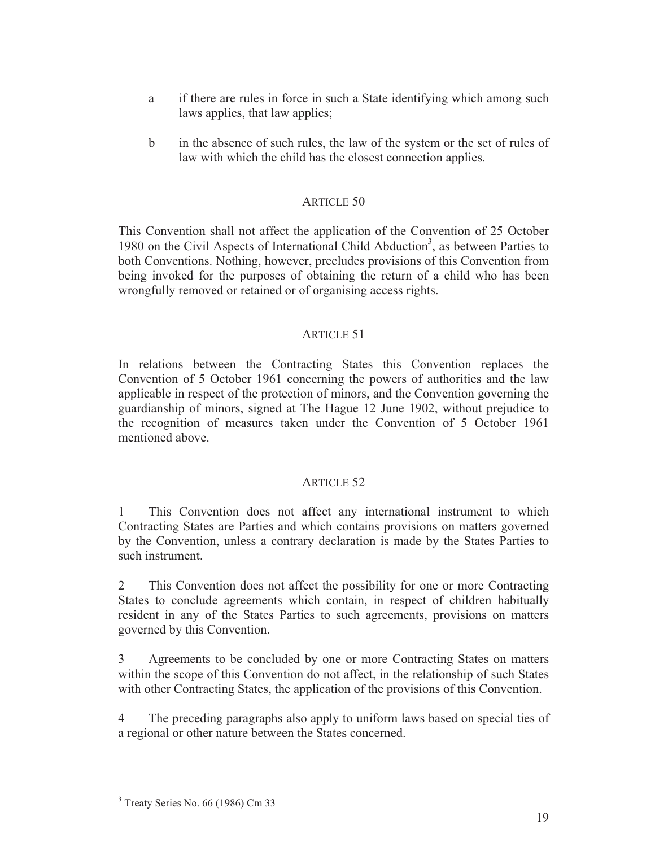- a if there are rules in force in such a State identifying which among such laws applies, that law applies;
- b in the absence of such rules, the law of the system or the set of rules of law with which the child has the closest connection applies.

This Convention shall not affect the application of the Convention of 25 October 1980 on the Civil Aspects of International Child Abduction<sup>3</sup>, as between Parties to both Conventions. Nothing, however, precludes provisions of this Convention from being invoked for the purposes of obtaining the return of a child who has been wrongfully removed or retained or of organising access rights.

## ARTICLE 51

In relations between the Contracting States this Convention replaces the Convention of 5 October 1961 concerning the powers of authorities and the law applicable in respect of the protection of minors, and the Convention governing the guardianship of minors, signed at The Hague 12 June 1902, without prejudice to the recognition of measures taken under the Convention of 5 October 1961 mentioned above.

## ARTICLE 52

1 This Convention does not affect any international instrument to which Contracting States are Parties and which contains provisions on matters governed by the Convention, unless a contrary declaration is made by the States Parties to such instrument.

2 This Convention does not affect the possibility for one or more Contracting States to conclude agreements which contain, in respect of children habitually resident in any of the States Parties to such agreements, provisions on matters governed by this Convention.

3 Agreements to be concluded by one or more Contracting States on matters within the scope of this Convention do not affect, in the relationship of such States with other Contracting States, the application of the provisions of this Convention.

4 The preceding paragraphs also apply to uniform laws based on special ties of a regional or other nature between the States concerned.

<sup>&</sup>lt;u>.</u> <sup>3</sup> Treaty Series No. 66 (1986) Cm 33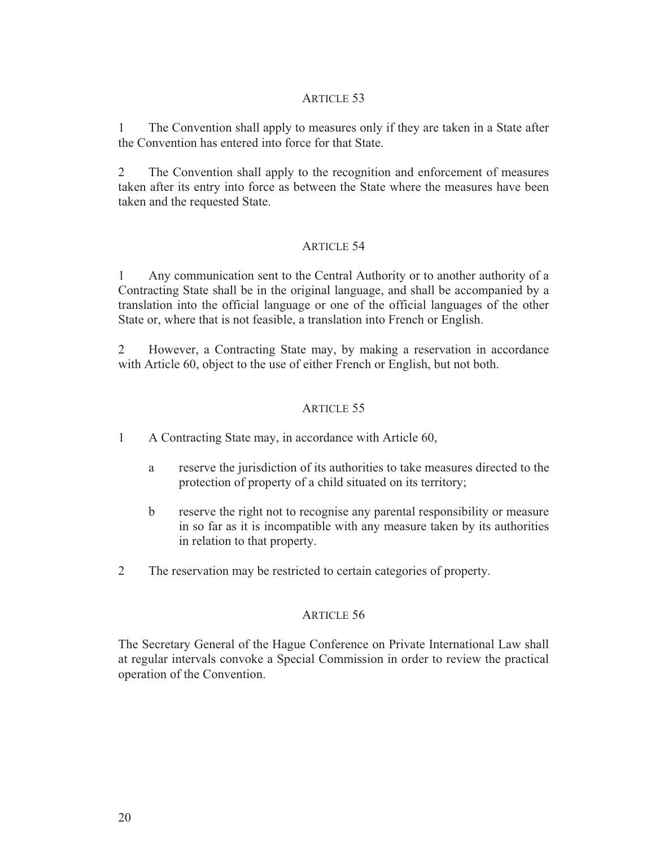1 The Convention shall apply to measures only if they are taken in a State after the Convention has entered into force for that State.

2 The Convention shall apply to the recognition and enforcement of measures taken after its entry into force as between the State where the measures have been taken and the requested State.

#### ARTICLE 54

1 Any communication sent to the Central Authority or to another authority of a Contracting State shall be in the original language, and shall be accompanied by a translation into the official language or one of the official languages of the other State or, where that is not feasible, a translation into French or English.

2 However, a Contracting State may, by making a reservation in accordance with Article 60, object to the use of either French or English, but not both.

#### ARTICLE 55

1 A Contracting State may, in accordance with Article 60,

- a reserve the jurisdiction of its authorities to take measures directed to the protection of property of a child situated on its territory;
- b reserve the right not to recognise any parental responsibility or measure in so far as it is incompatible with any measure taken by its authorities in relation to that property.
- 2 The reservation may be restricted to certain categories of property.

#### ARTICLE 56

The Secretary General of the Hague Conference on Private International Law shall at regular intervals convoke a Special Commission in order to review the practical operation of the Convention.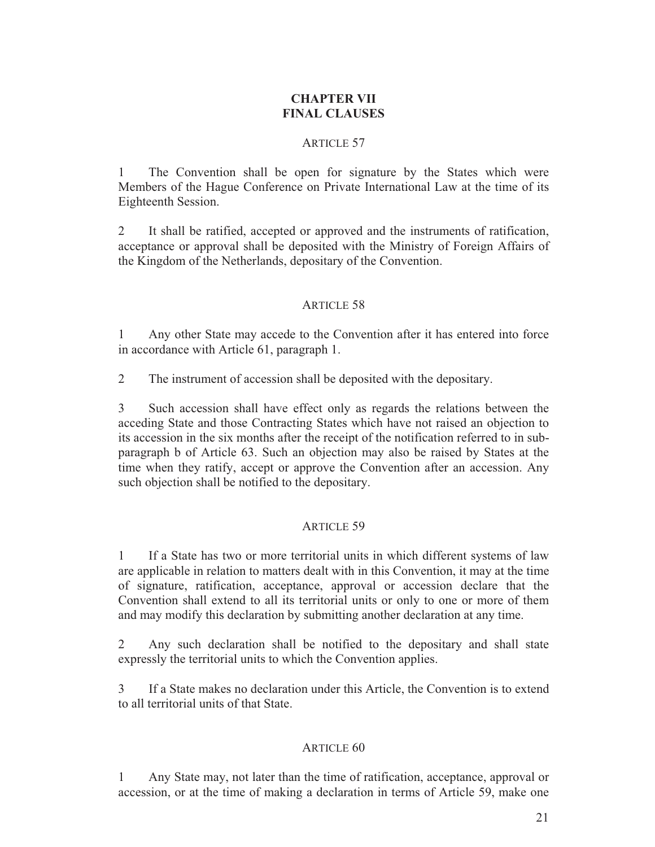#### **CHAPTER VII FINAL CLAUSES FINAL CLAUSES**

#### ARTICLE 57

1 The Convention shall be open for signature by the States which were Members of the Hague Conference on Private International Law at the time of its Eighteenth Session.

2 It shall be ratified, accepted or approved and the instruments of ratification, acceptance or approval shall be deposited with the Ministry of Foreign Affairs of the Kingdom of the Netherlands, depositary of the Convention.

## ARTICLE 58

1 Any other State may accede to the Convention after it has entered into force in accordance with Article 61, paragraph 1.

2 The instrument of accession shall be deposited with the depositary.

3 Such accession shall have effect only as regards the relations between the acceding State and those Contracting States which have not raised an objection to its accession in the six months after the receipt of the notification referred to in subparagraph b of Article 63. Such an objection may also be raised by States at the time when they ratify, accept or approve the Convention after an accession. Any such objection shall be notified to the depositary.

## ARTICLE 59

1 If a State has two or more territorial units in which different systems of law are applicable in relation to matters dealt with in this Convention, it may at the time of signature, ratification, acceptance, approval or accession declare that the Convention shall extend to all its territorial units or only to one or more of them and may modify this declaration by submitting another declaration at any time.

2 Any such declaration shall be notified to the depositary and shall state expressly the territorial units to which the Convention applies.

3 If a State makes no declaration under this Article, the Convention is to extend to all territorial units of that State.

#### ARTICLE 60

1 Any State may, not later than the time of ratification, acceptance, approval or accession, or at the time of making a declaration in terms of Article 59, make one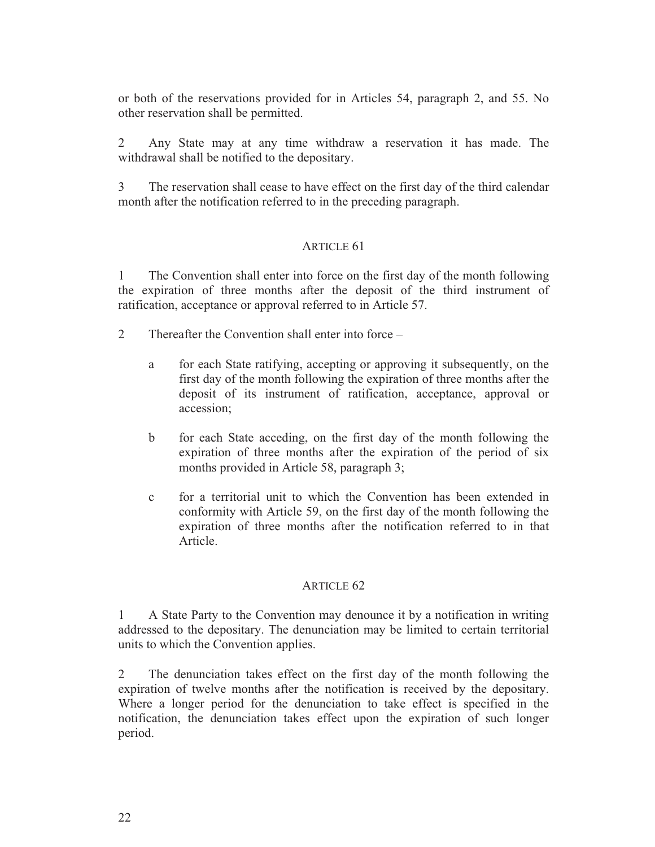or both of the reservations provided for in Articles 54, paragraph 2, and 55. No other reservation shall be permitted.

2 Any State may at any time withdraw a reservation it has made. The withdrawal shall be notified to the depositary.

3 The reservation shall cease to have effect on the first day of the third calendar month after the notification referred to in the preceding paragraph.

## ARTICLE 61

1 The Convention shall enter into force on the first day of the month following the expiration of three months after the deposit of the third instrument of ratification, acceptance or approval referred to in Article 57.

- 2 Thereafter the Convention shall enter into force
	- a for each State ratifying, accepting or approving it subsequently, on the first day of the month following the expiration of three months after the deposit of its instrument of ratification, acceptance, approval or accession;
	- b for each State acceding, on the first day of the month following the expiration of three months after the expiration of the period of six months provided in Article 58, paragraph 3;
	- c for a territorial unit to which the Convention has been extended in conformity with Article 59, on the first day of the month following the expiration of three months after the notification referred to in that Article.

## ARTICLE 62

1 A State Party to the Convention may denounce it by a notification in writing addressed to the depositary. The denunciation may be limited to certain territorial units to which the Convention applies.

2 The denunciation takes effect on the first day of the month following the expiration of twelve months after the notification is received by the depositary. Where a longer period for the denunciation to take effect is specified in the notification, the denunciation takes effect upon the expiration of such longer period.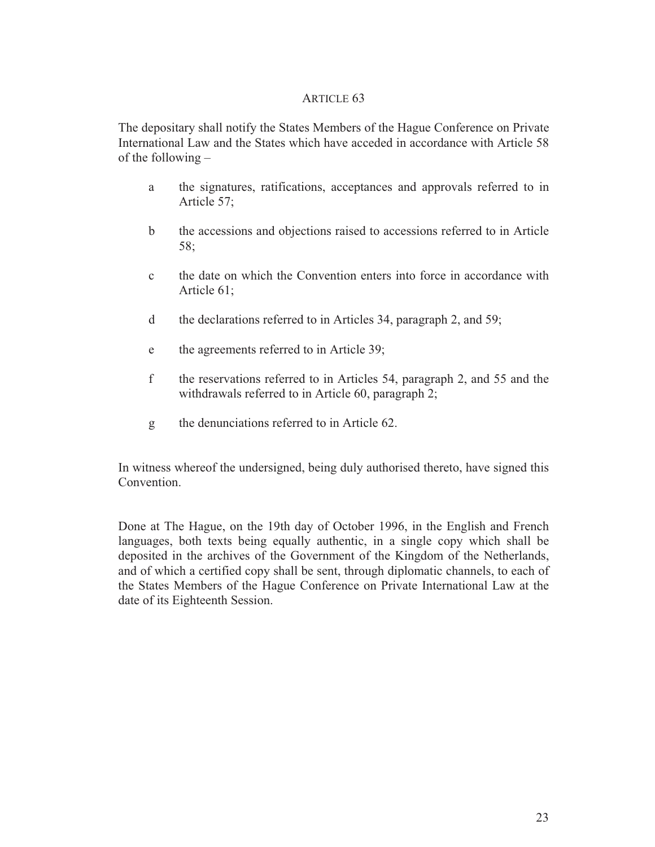The depositary shall notify the States Members of the Hague Conference on Private International Law and the States which have acceded in accordance with Article 58 of the following –

- a the signatures, ratifications, acceptances and approvals referred to in Article 57;
- b the accessions and objections raised to accessions referred to in Article 58;
- c the date on which the Convention enters into force in accordance with Article 61;
- d the declarations referred to in Articles 34, paragraph 2, and 59;
- e the agreements referred to in Article 39;
- f the reservations referred to in Articles 54, paragraph 2, and 55 and the withdrawals referred to in Article 60, paragraph 2;
- g the denunciations referred to in Article 62.

In witness whereof the undersigned, being duly authorised thereto, have signed this Convention.

Done at The Hague, on the 19th day of October 1996, in the English and French languages, both texts being equally authentic, in a single copy which shall be deposited in the archives of the Government of the Kingdom of the Netherlands, and of which a certified copy shall be sent, through diplomatic channels, to each of the States Members of the Hague Conference on Private International Law at the date of its Eighteenth Session.